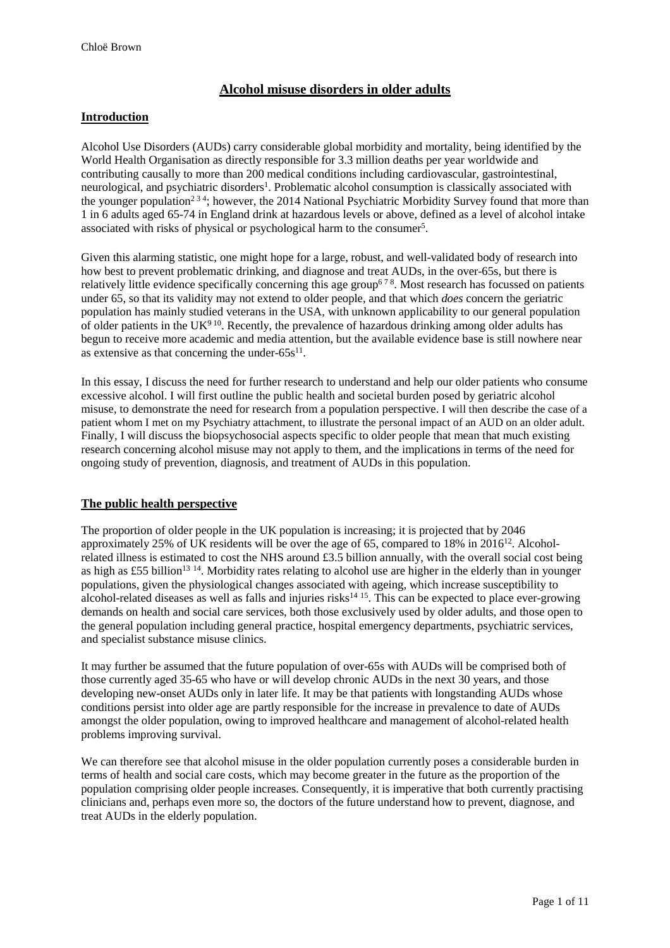# **Alcohol misuse disorders in older adults**

### **Introduction**

Alcohol Use Disorders (AUDs) carry considerable global morbidity and mortality, being identified by the World Health Organisation as directly responsible for 3.3 million deaths per year worldwide and contributing causally to more than 200 medical conditions including cardiovascular, gastrointestinal, neurological, and psychiatric disorders<sup>1</sup>. Problematic alcohol consumption is classically associated with the younger population<sup>234</sup>; however, the 2014 National Psychiatric Morbidity Survey found that more than 1 in 6 adults aged 65-74 in England drink at hazardous levels or above, defined as a level of alcohol intake associated with risks of physical or psychological harm to the consumer<sup>5</sup>.

Given this alarming statistic, one might hope for a large, robust, and well-validated body of research into how best to prevent problematic drinking, and diagnose and treat AUDs, in the over-65s, but there is relatively little evidence specifically concerning this age group<sup>678</sup>. Most research has focussed on patients under 65, so that its validity may not extend to older people, and that which *does* concern the geriatric population has mainly studied veterans in the USA, with unknown applicability to our general population of older patients in the UK<sup>910</sup>. Recently, the prevalence of hazardous drinking among older adults has begun to receive more academic and media attention, but the available evidence base is still nowhere near as extensive as that concerning the under- $65s^{11}$ .

In this essay, I discuss the need for further research to understand and help our older patients who consume excessive alcohol. I will first outline the public health and societal burden posed by geriatric alcohol misuse, to demonstrate the need for research from a population perspective. I will then describe the case of a patient whom I met on my Psychiatry attachment, to illustrate the personal impact of an AUD on an older adult. Finally, I will discuss the biopsychosocial aspects specific to older people that mean that much existing research concerning alcohol misuse may not apply to them, and the implications in terms of the need for ongoing study of prevention, diagnosis, and treatment of AUDs in this population.

#### **The public health perspective**

The proportion of older people in the UK population is increasing; it is projected that by 2046 approximately 25% of UK residents will be over the age of 65, compared to 18% in 2016<sup>12</sup>. Alcoholrelated illness is estimated to cost the NHS around £3.5 billion annually, with the overall social cost being as high as £55 billion<sup>13 14</sup>. Morbidity rates relating to alcohol use are higher in the elderly than in younger populations, given the physiological changes associated with ageing, which increase susceptibility to alcohol-related diseases as well as falls and injuries risks $14 \times 15$ . This can be expected to place ever-growing demands on health and social care services, both those exclusively used by older adults, and those open to the general population including general practice, hospital emergency departments, psychiatric services, and specialist substance misuse clinics.

It may further be assumed that the future population of over-65s with AUDs will be comprised both of those currently aged 35-65 who have or will develop chronic AUDs in the next 30 years, and those developing new-onset AUDs only in later life. It may be that patients with longstanding AUDs whose conditions persist into older age are partly responsible for the increase in prevalence to date of AUDs amongst the older population, owing to improved healthcare and management of alcohol-related health problems improving survival.

We can therefore see that alcohol misuse in the older population currently poses a considerable burden in terms of health and social care costs, which may become greater in the future as the proportion of the population comprising older people increases. Consequently, it is imperative that both currently practising clinicians and, perhaps even more so, the doctors of the future understand how to prevent, diagnose, and treat AUDs in the elderly population.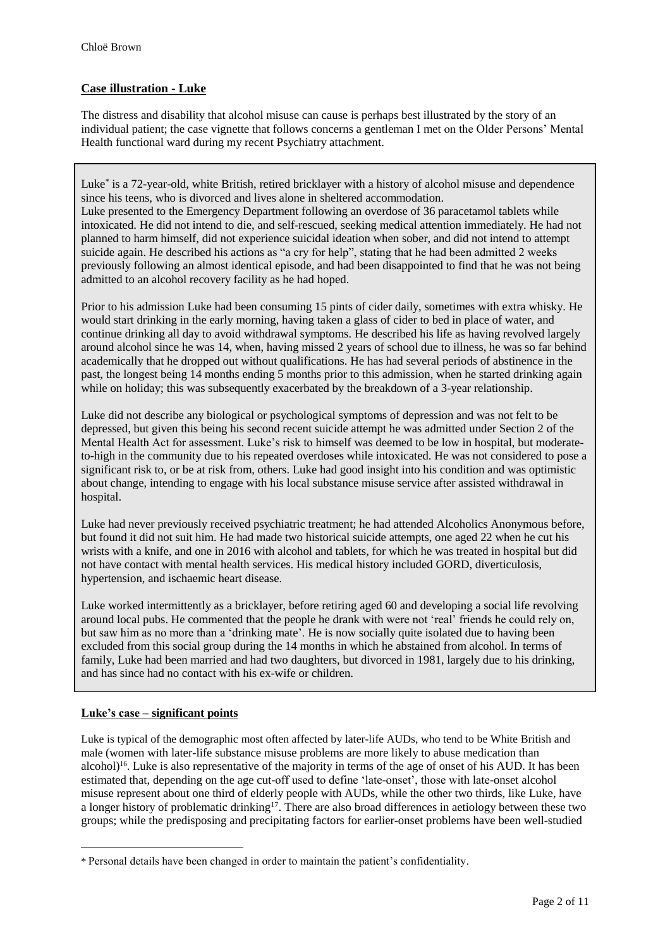## **Case illustration - Luke**

The distress and disability that alcohol misuse can cause is perhaps best illustrated by the story of an individual patient; the case vignette that follows concerns a gentleman I met on the Older Persons' Mental Health functional ward during my recent Psychiatry attachment.

Luke\* is a 72-year-old, white British, retired bricklayer with a history of alcohol misuse and dependence since his teens, who is divorced and lives alone in sheltered accommodation. Luke presented to the Emergency Department following an overdose of 36 paracetamol tablets while intoxicated. He did not intend to die, and self-rescued, seeking medical attention immediately. He had not planned to harm himself, did not experience suicidal ideation when sober, and did not intend to attempt suicide again. He described his actions as "a cry for help", stating that he had been admitted 2 weeks previously following an almost identical episode, and had been disappointed to find that he was not being admitted to an alcohol recovery facility as he had hoped.

Prior to his admission Luke had been consuming 15 pints of cider daily, sometimes with extra whisky. He would start drinking in the early morning, having taken a glass of cider to bed in place of water, and continue drinking all day to avoid withdrawal symptoms. He described his life as having revolved largely around alcohol since he was 14, when, having missed 2 years of school due to illness, he was so far behind academically that he dropped out without qualifications. He has had several periods of abstinence in the past, the longest being 14 months ending 5 months prior to this admission, when he started drinking again while on holiday; this was subsequently exacerbated by the breakdown of a 3-year relationship.

Luke did not describe any biological or psychological symptoms of depression and was not felt to be depressed, but given this being his second recent suicide attempt he was admitted under Section 2 of the Mental Health Act for assessment. Luke's risk to himself was deemed to be low in hospital, but moderateto-high in the community due to his repeated overdoses while intoxicated. He was not considered to pose a significant risk to, or be at risk from, others. Luke had good insight into his condition and was optimistic about change, intending to engage with his local substance misuse service after assisted withdrawal in hospital.

Luke had never previously received psychiatric treatment; he had attended Alcoholics Anonymous before, but found it did not suit him. He had made two historical suicide attempts, one aged 22 when he cut his wrists with a knife, and one in 2016 with alcohol and tablets, for which he was treated in hospital but did not have contact with mental health services. His medical history included GORD, diverticulosis, hypertension, and ischaemic heart disease.

Luke worked intermittently as a bricklayer, before retiring aged 60 and developing a social life revolving around local pubs. He commented that the people he drank with were not 'real' friends he could rely on, but saw him as no more than a 'drinking mate'. He is now socially quite isolated due to having been excluded from this social group during the 14 months in which he abstained from alcohol. In terms of family, Luke had been married and had two daughters, but divorced in 1981, largely due to his drinking, and has since had no contact with his ex-wife or children.

## **Luke's case – significant points**

 $\overline{a}$ 

Luke is typical of the demographic most often affected by later-life AUDs, who tend to be White British and male (women with later-life substance misuse problems are more likely to abuse medication than alcohol)<sup>16</sup>. Luke is also representative of the majority in terms of the age of onset of his AUD. It has been estimated that, depending on the age cut-off used to define 'late-onset', those with late-onset alcohol misuse represent about one third of elderly people with AUDs, while the other two thirds, like Luke, have a longer history of problematic drinking<sup>17</sup>. There are also broad differences in aetiology between these two groups; while the predisposing and precipitating factors for earlier-onset problems have been well-studied

<sup>\*</sup> Personal details have been changed in order to maintain the patient's confidentiality.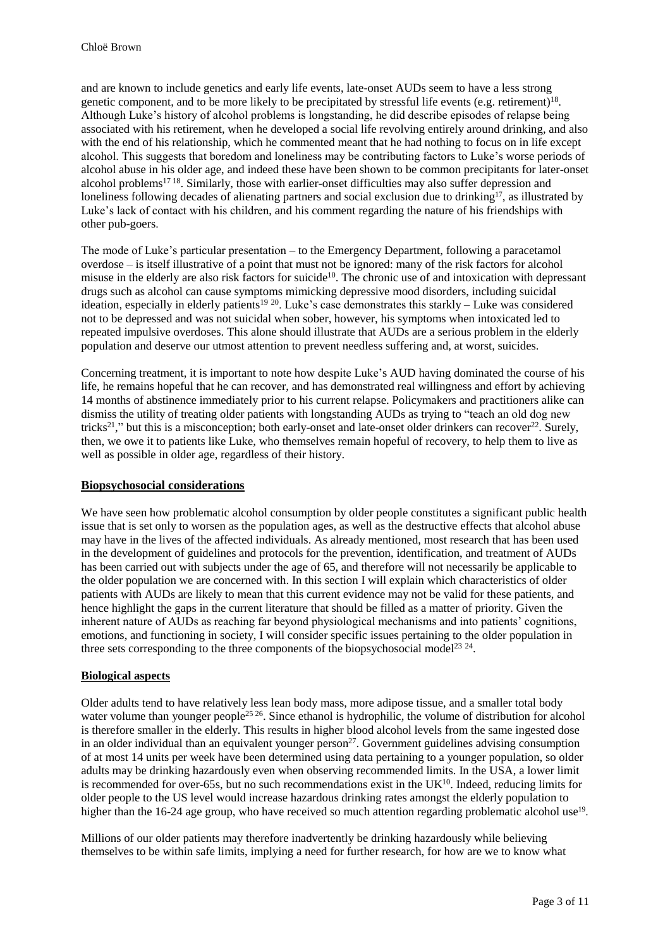and are known to include genetics and early life events, late-onset AUDs seem to have a less strong genetic component, and to be more likely to be precipitated by stressful life events (e.g. retirement)<sup>18</sup>. Although Luke's history of alcohol problems is longstanding, he did describe episodes of relapse being associated with his retirement, when he developed a social life revolving entirely around drinking, and also with the end of his relationship, which he commented meant that he had nothing to focus on in life except alcohol. This suggests that boredom and loneliness may be contributing factors to Luke's worse periods of alcohol abuse in his older age, and indeed these have been shown to be common precipitants for later-onset alcohol problems<sup>1718</sup>. Similarly, those with earlier-onset difficulties may also suffer depression and loneliness following decades of alienating partners and social exclusion due to drinking<sup>17</sup>, as illustrated by Luke's lack of contact with his children, and his comment regarding the nature of his friendships with other pub-goers.

The mode of Luke's particular presentation – to the Emergency Department, following a paracetamol overdose – is itself illustrative of a point that must not be ignored: many of the risk factors for alcohol misuse in the elderly are also risk factors for suicide<sup>10</sup>. The chronic use of and intoxication with depressant drugs such as alcohol can cause symptoms mimicking depressive mood disorders, including suicidal ideation, especially in elderly patients<sup>19 20</sup>. Luke's case demonstrates this starkly – Luke was considered not to be depressed and was not suicidal when sober, however, his symptoms when intoxicated led to repeated impulsive overdoses. This alone should illustrate that AUDs are a serious problem in the elderly population and deserve our utmost attention to prevent needless suffering and, at worst, suicides.

Concerning treatment, it is important to note how despite Luke's AUD having dominated the course of his life, he remains hopeful that he can recover, and has demonstrated real willingness and effort by achieving 14 months of abstinence immediately prior to his current relapse. Policymakers and practitioners alike can dismiss the utility of treating older patients with longstanding AUDs as trying to "teach an old dog new tricks<sup>21</sup>," but this is a misconception; both early-onset and late-onset older drinkers can recover<sup>22</sup>. Surely, then, we owe it to patients like Luke, who themselves remain hopeful of recovery, to help them to live as well as possible in older age, regardless of their history.

### **Biopsychosocial considerations**

We have seen how problematic alcohol consumption by older people constitutes a significant public health issue that is set only to worsen as the population ages, as well as the destructive effects that alcohol abuse may have in the lives of the affected individuals. As already mentioned, most research that has been used in the development of guidelines and protocols for the prevention, identification, and treatment of AUDs has been carried out with subjects under the age of 65, and therefore will not necessarily be applicable to the older population we are concerned with. In this section I will explain which characteristics of older patients with AUDs are likely to mean that this current evidence may not be valid for these patients, and hence highlight the gaps in the current literature that should be filled as a matter of priority. Given the inherent nature of AUDs as reaching far beyond physiological mechanisms and into patients' cognitions, emotions, and functioning in society, I will consider specific issues pertaining to the older population in three sets corresponding to the three components of the biopsychosocial model<sup>23 24</sup>.

#### **Biological aspects**

Older adults tend to have relatively less lean body mass, more adipose tissue, and a smaller total body water volume than younger people<sup>25 26</sup>. Since ethanol is hydrophilic, the volume of distribution for alcohol is therefore smaller in the elderly. This results in higher blood alcohol levels from the same ingested dose in an older individual than an equivalent younger person<sup>27</sup>. Government guidelines advising consumption of at most 14 units per week have been determined using data pertaining to a younger population, so older adults may be drinking hazardously even when observing recommended limits. In the USA, a lower limit is recommended for over-65s, but no such recommendations exist in the  $UK^{10}$ . Indeed, reducing limits for older people to the US level would increase hazardous drinking rates amongst the elderly population to higher than the 16-24 age group, who have received so much attention regarding problematic alcohol use<sup>19</sup>.

Millions of our older patients may therefore inadvertently be drinking hazardously while believing themselves to be within safe limits, implying a need for further research, for how are we to know what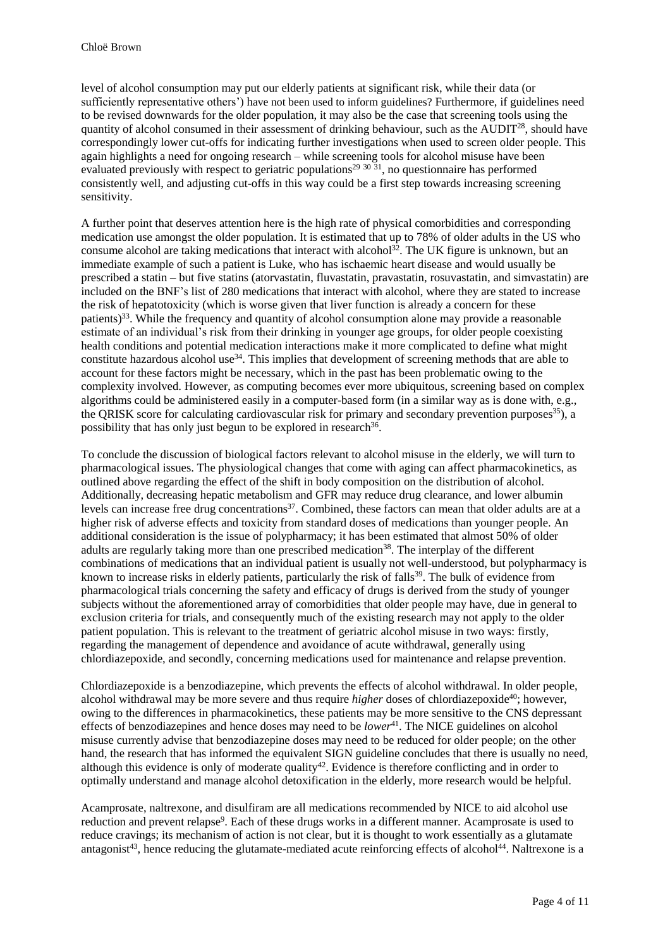level of alcohol consumption may put our elderly patients at significant risk, while their data (or sufficiently representative others') have not been used to inform guidelines? Furthermore, if guidelines need to be revised downwards for the older population, it may also be the case that screening tools using the quantity of alcohol consumed in their assessment of drinking behaviour, such as the AUDIT<sup>28</sup>, should have correspondingly lower cut-offs for indicating further investigations when used to screen older people. This again highlights a need for ongoing research – while screening tools for alcohol misuse have been evaluated previously with respect to geriatric populations<sup>29 30 31</sup>, no questionnaire has performed consistently well, and adjusting cut-offs in this way could be a first step towards increasing screening sensitivity.

A further point that deserves attention here is the high rate of physical comorbidities and corresponding medication use amongst the older population. It is estimated that up to 78% of older adults in the US who consume alcohol are taking medications that interact with alcohol<sup>32</sup>. The UK figure is unknown, but an immediate example of such a patient is Luke, who has ischaemic heart disease and would usually be prescribed a statin – but five statins (atorvastatin, fluvastatin, pravastatin, rosuvastatin, and simvastatin) are included on the BNF's list of 280 medications that interact with alcohol, where they are stated to increase the risk of hepatotoxicity (which is worse given that liver function is already a concern for these patients)<sup>33</sup>. While the frequency and quantity of alcohol consumption alone may provide a reasonable estimate of an individual's risk from their drinking in younger age groups, for older people coexisting health conditions and potential medication interactions make it more complicated to define what might constitute hazardous alcohol use<sup>34</sup>. This implies that development of screening methods that are able to account for these factors might be necessary, which in the past has been problematic owing to the complexity involved. However, as computing becomes ever more ubiquitous, screening based on complex algorithms could be administered easily in a computer-based form (in a similar way as is done with, e.g., the ORISK score for calculating cardiovascular risk for primary and secondary prevention purposes  $(35)$ , a possibility that has only just begun to be explored in research<sup>36</sup>.

To conclude the discussion of biological factors relevant to alcohol misuse in the elderly, we will turn to pharmacological issues. The physiological changes that come with aging can affect pharmacokinetics, as outlined above regarding the effect of the shift in body composition on the distribution of alcohol. Additionally, decreasing hepatic metabolism and GFR may reduce drug clearance, and lower albumin levels can increase free drug concentrations<sup>37</sup>. Combined, these factors can mean that older adults are at a higher risk of adverse effects and toxicity from standard doses of medications than younger people. An additional consideration is the issue of polypharmacy; it has been estimated that almost 50% of older adults are regularly taking more than one prescribed medication<sup>38</sup>. The interplay of the different combinations of medications that an individual patient is usually not well-understood, but polypharmacy is known to increase risks in elderly patients, particularly the risk of falls<sup>39</sup>. The bulk of evidence from pharmacological trials concerning the safety and efficacy of drugs is derived from the study of younger subjects without the aforementioned array of comorbidities that older people may have, due in general to exclusion criteria for trials, and consequently much of the existing research may not apply to the older patient population. This is relevant to the treatment of geriatric alcohol misuse in two ways: firstly, regarding the management of dependence and avoidance of acute withdrawal, generally using chlordiazepoxide, and secondly, concerning medications used for maintenance and relapse prevention.

Chlordiazepoxide is a benzodiazepine, which prevents the effects of alcohol withdrawal. In older people, alcohol withdrawal may be more severe and thus require *higher* doses of chlordiazepoxide<sup>40</sup>; however, owing to the differences in pharmacokinetics, these patients may be more sensitive to the CNS depressant effects of benzodiazepines and hence doses may need to be *lower*<sup>41</sup>. The NICE guidelines on alcohol misuse currently advise that benzodiazepine doses may need to be reduced for older people; on the other hand, the research that has informed the equivalent SIGN guideline concludes that there is usually no need, although this evidence is only of moderate quality<sup>42</sup>. Evidence is therefore conflicting and in order to optimally understand and manage alcohol detoxification in the elderly, more research would be helpful.

Acamprosate, naltrexone, and disulfiram are all medications recommended by NICE to aid alcohol use reduction and prevent relapse<sup>9</sup>. Each of these drugs works in a different manner. Acamprosate is used to reduce cravings; its mechanism of action is not clear, but it is thought to work essentially as a glutamate antagonist<sup>43</sup>, hence reducing the glutamate-mediated acute reinforcing effects of alcohol<sup>44</sup>. Naltrexone is a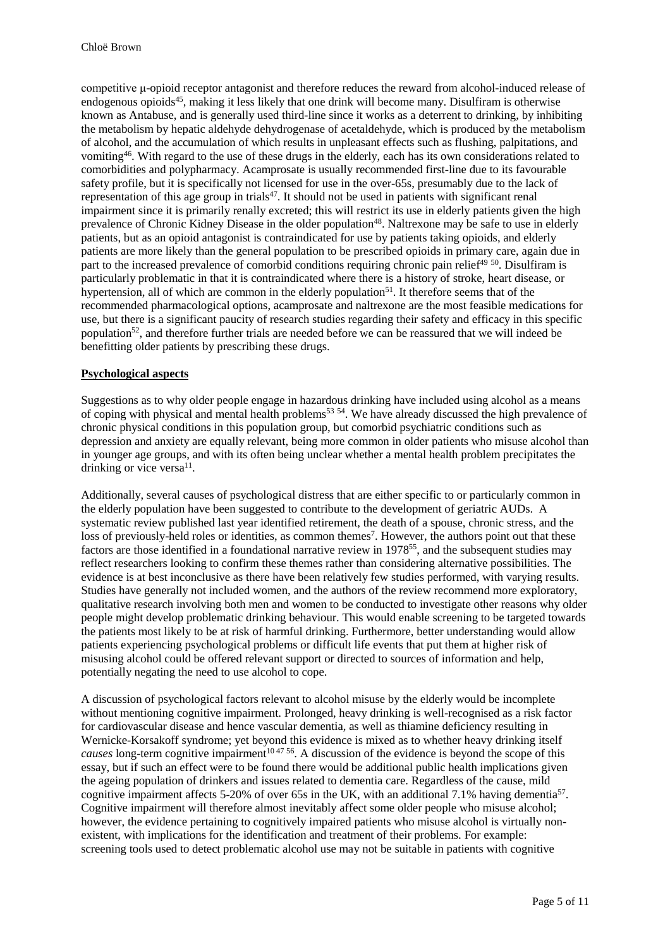competitive μ-opioid receptor antagonist and therefore reduces the reward from alcohol-induced release of endogenous opioids<sup>45</sup>, making it less likely that one drink will become many. Disulfiram is otherwise known as Antabuse, and is generally used third-line since it works as a deterrent to drinking, by inhibiting the metabolism by hepatic aldehyde dehydrogenase of acetaldehyde, which is produced by the metabolism of alcohol, and the accumulation of which results in unpleasant effects such as flushing, palpitations, and vomiting<sup>46</sup> . With regard to the use of these drugs in the elderly, each has its own considerations related to comorbidities and polypharmacy. Acamprosate is usually recommended first-line due to its favourable safety profile, but it is specifically not licensed for use in the over-65s, presumably due to the lack of representation of this age group in trials<sup>47</sup>. It should not be used in patients with significant renal impairment since it is primarily renally excreted; this will restrict its use in elderly patients given the high prevalence of Chronic Kidney Disease in the older population<sup>48</sup>. Naltrexone may be safe to use in elderly patients, but as an opioid antagonist is contraindicated for use by patients taking opioids, and elderly patients are more likely than the general population to be prescribed opioids in primary care, again due in part to the increased prevalence of comorbid conditions requiring chronic pain relief<sup>49 50</sup>. Disulfiram is particularly problematic in that it is contraindicated where there is a history of stroke, heart disease, or hypertension, all of which are common in the elderly population<sup>51</sup>. It therefore seems that of the recommended pharmacological options, acamprosate and naltrexone are the most feasible medications for use, but there is a significant paucity of research studies regarding their safety and efficacy in this specific population<sup>52</sup>, and therefore further trials are needed before we can be reassured that we will indeed be benefitting older patients by prescribing these drugs.

#### **Psychological aspects**

Suggestions as to why older people engage in hazardous drinking have included using alcohol as a means of coping with physical and mental health problems<sup>53 54</sup>. We have already discussed the high prevalence of chronic physical conditions in this population group, but comorbid psychiatric conditions such as depression and anxiety are equally relevant, being more common in older patients who misuse alcohol than in younger age groups, and with its often being unclear whether a mental health problem precipitates the drinking or vice versa $^{11}$ .

Additionally, several causes of psychological distress that are either specific to or particularly common in the elderly population have been suggested to contribute to the development of geriatric AUDs. A systematic review published last year identified retirement, the death of a spouse, chronic stress, and the loss of previously-held roles or identities, as common themes<sup>7</sup>. However, the authors point out that these factors are those identified in a foundational narrative review in 1978<sup>55</sup>, and the subsequent studies may reflect researchers looking to confirm these themes rather than considering alternative possibilities. The evidence is at best inconclusive as there have been relatively few studies performed, with varying results. Studies have generally not included women, and the authors of the review recommend more exploratory, qualitative research involving both men and women to be conducted to investigate other reasons why older people might develop problematic drinking behaviour. This would enable screening to be targeted towards the patients most likely to be at risk of harmful drinking. Furthermore, better understanding would allow patients experiencing psychological problems or difficult life events that put them at higher risk of misusing alcohol could be offered relevant support or directed to sources of information and help, potentially negating the need to use alcohol to cope.

A discussion of psychological factors relevant to alcohol misuse by the elderly would be incomplete without mentioning cognitive impairment. Prolonged, heavy drinking is well-recognised as a risk factor for cardiovascular disease and hence vascular dementia, as well as thiamine deficiency resulting in Wernicke-Korsakoff syndrome; yet beyond this evidence is mixed as to whether heavy drinking itself *causes* long-term cognitive impairment<sup>10,47,56</sup>. A discussion of the evidence is beyond the scope of this essay, but if such an effect were to be found there would be additional public health implications given the ageing population of drinkers and issues related to dementia care. Regardless of the cause, mild cognitive impairment affects 5-20% of over 65s in the UK, with an additional 7.1% having dementia<sup>57</sup>. Cognitive impairment will therefore almost inevitably affect some older people who misuse alcohol; however, the evidence pertaining to cognitively impaired patients who misuse alcohol is virtually nonexistent, with implications for the identification and treatment of their problems. For example: screening tools used to detect problematic alcohol use may not be suitable in patients with cognitive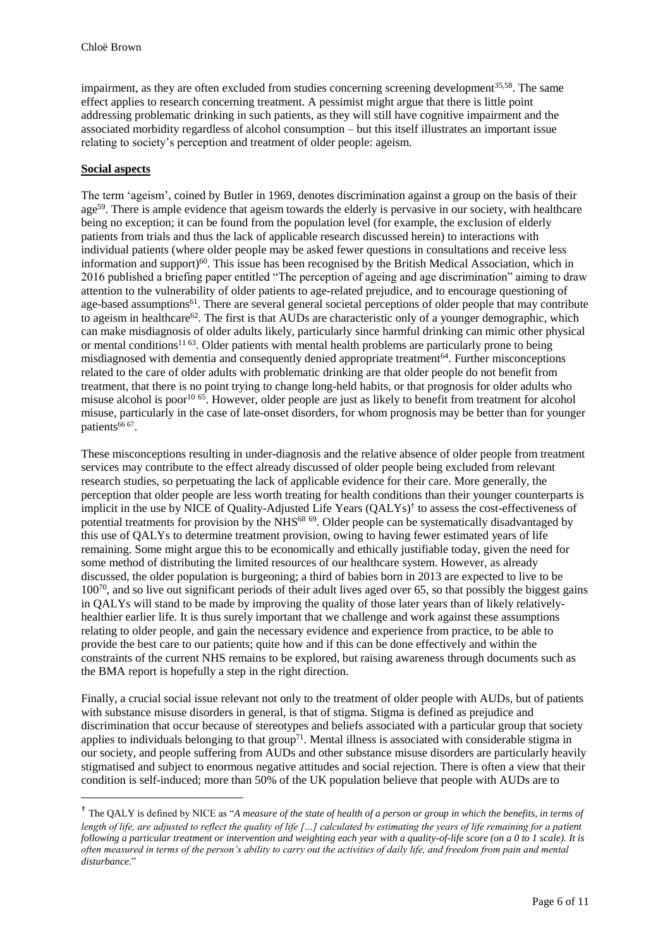impairment, as they are often excluded from studies concerning screening development<sup>35,58</sup>. The same effect applies to research concerning treatment. A pessimist might argue that there is little point addressing problematic drinking in such patients, as they will still have cognitive impairment and the associated morbidity regardless of alcohol consumption – but this itself illustrates an important issue relating to society's perception and treatment of older people: ageism.

### **Social aspects**

 $\overline{a}$ 

The term 'ageism', coined by Butler in 1969, denotes discrimination against a group on the basis of their  $age<sup>59</sup>$ . There is ample evidence that ageism towards the elderly is pervasive in our society, with healthcare being no exception; it can be found from the population level (for example, the exclusion of elderly patients from trials and thus the lack of applicable research discussed herein) to interactions with individual patients (where older people may be asked fewer questions in consultations and receive less information and support)<sup>60</sup>. This issue has been recognised by the British Medical Association, which in 2016 published a briefing paper entitled "The perception of ageing and age discrimination" aiming to draw attention to the vulnerability of older patients to age-related prejudice, and to encourage questioning of age-based assumptions<sup>61</sup>. There are several general societal perceptions of older people that may contribute to ageism in healthcare<sup>62</sup>. The first is that AUDs are characteristic only of a younger demographic, which can make misdiagnosis of older adults likely, particularly since harmful drinking can mimic other physical or mental conditions<sup>11 63</sup>. Older patients with mental health problems are particularly prone to being misdiagnosed with dementia and consequently denied appropriate treatment<sup>64</sup>. Further misconceptions related to the care of older adults with problematic drinking are that older people do not benefit from treatment, that there is no point trying to change long-held habits, or that prognosis for older adults who misuse alcohol is poor<sup>10 65</sup>. However, older people are just as likely to benefit from treatment for alcohol misuse, particularly in the case of late-onset disorders, for whom prognosis may be better than for younger patients<sup>66 67</sup>.

These misconceptions resulting in under-diagnosis and the relative absence of older people from treatment services may contribute to the effect already discussed of older people being excluded from relevant research studies, so perpetuating the lack of applicable evidence for their care. More generally, the perception that older people are less worth treating for health conditions than their younger counterparts is implicit in the use by NICE of Quality-Adjusted Life Years (QALYs)† to assess the cost-effectiveness of potential treatments for provision by the NHS<sup>68 69</sup>. Older people can be systematically disadvantaged by this use of QALYs to determine treatment provision, owing to having fewer estimated years of life remaining. Some might argue this to be economically and ethically justifiable today, given the need for some method of distributing the limited resources of our healthcare system. However, as already discussed, the older population is burgeoning; a third of babies born in 2013 are expected to live to be 100<sup>70</sup>, and so live out significant periods of their adult lives aged over 65, so that possibly the biggest gains in QALYs will stand to be made by improving the quality of those later years than of likely relativelyhealthier earlier life. It is thus surely important that we challenge and work against these assumptions relating to older people, and gain the necessary evidence and experience from practice, to be able to provide the best care to our patients; quite how and if this can be done effectively and within the constraints of the current NHS remains to be explored, but raising awareness through documents such as the BMA report is hopefully a step in the right direction.

Finally, a crucial social issue relevant not only to the treatment of older people with AUDs, but of patients with substance misuse disorders in general, is that of stigma. Stigma is defined as prejudice and discrimination that occur because of stereotypes and beliefs associated with a particular group that society applies to individuals belonging to that group<sup>71</sup>. Mental illness is associated with considerable stigma in our society, and people suffering from AUDs and other substance misuse disorders are particularly heavily stigmatised and subject to enormous negative attitudes and social rejection. There is often a view that their condition is self-induced; more than 50% of the UK population believe that people with AUDs are to

<sup>†</sup> The QALY is defined by NICE as "*A measure of the state of health of a person or group in which the benefits, in terms of length of life, are adjusted to reflect the quality of life […] calculated by estimating the years of life remaining for a patient following a particular treatment or intervention and weighting each year with a quality-of-life score (on a 0 to 1 scale). It is often measured in terms of the person's ability to carry out the activities of daily life, and freedom from pain and mental disturbance.*"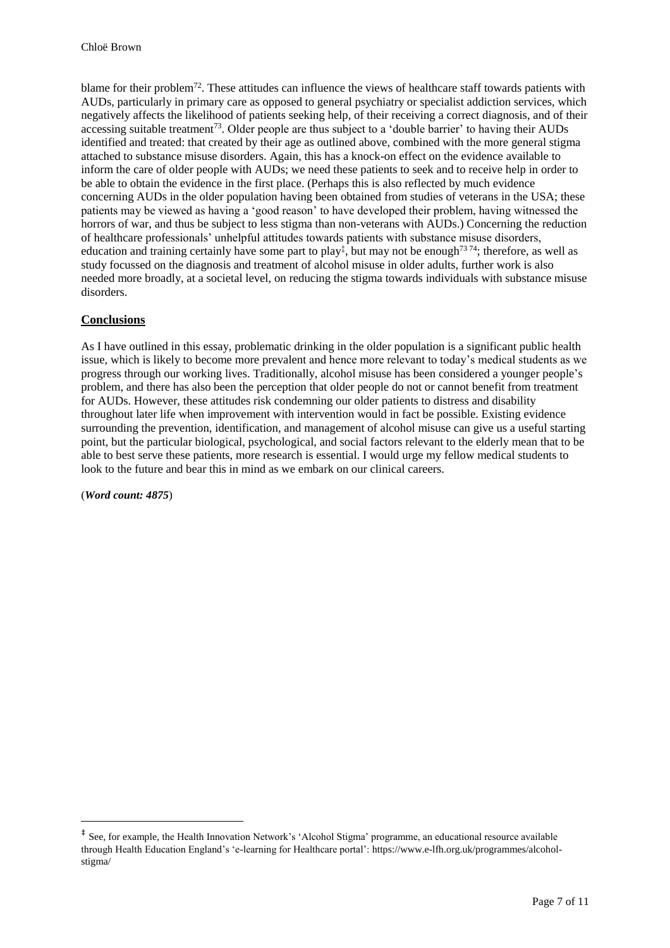blame for their problem<sup>72</sup>. These attitudes can influence the views of healthcare staff towards patients with AUDs, particularly in primary care as opposed to general psychiatry or specialist addiction services, which negatively affects the likelihood of patients seeking help, of their receiving a correct diagnosis, and of their accessing suitable treatment<sup>73</sup>. Older people are thus subject to a 'double barrier' to having their AUDs identified and treated: that created by their age as outlined above, combined with the more general stigma attached to substance misuse disorders. Again, this has a knock-on effect on the evidence available to inform the care of older people with AUDs; we need these patients to seek and to receive help in order to be able to obtain the evidence in the first place. (Perhaps this is also reflected by much evidence concerning AUDs in the older population having been obtained from studies of veterans in the USA; these patients may be viewed as having a 'good reason' to have developed their problem, having witnessed the horrors of war, and thus be subject to less stigma than non-veterans with AUDs.) Concerning the reduction of healthcare professionals' unhelpful attitudes towards patients with substance misuse disorders, education and training certainly have some part to play<sup>‡</sup>, but may not be enough<sup>7374</sup>; therefore, as well as study focussed on the diagnosis and treatment of alcohol misuse in older adults, further work is also needed more broadly, at a societal level, on reducing the stigma towards individuals with substance misuse disorders.

## **Conclusions**

As I have outlined in this essay, problematic drinking in the older population is a significant public health issue, which is likely to become more prevalent and hence more relevant to today's medical students as we progress through our working lives. Traditionally, alcohol misuse has been considered a younger people's problem, and there has also been the perception that older people do not or cannot benefit from treatment for AUDs. However, these attitudes risk condemning our older patients to distress and disability throughout later life when improvement with intervention would in fact be possible. Existing evidence surrounding the prevention, identification, and management of alcohol misuse can give us a useful starting point, but the particular biological, psychological, and social factors relevant to the elderly mean that to be able to best serve these patients, more research is essential. I would urge my fellow medical students to look to the future and bear this in mind as we embark on our clinical careers.

(*Word count: 4875*)

 $\overline{a}$ 

<sup>‡</sup> See, for example, the Health Innovation Network's 'Alcohol Stigma' programme, an educational resource available through Health Education England's 'e-learning for Healthcare portal': https://www.e-lfh.org.uk/programmes/alcoholstigma/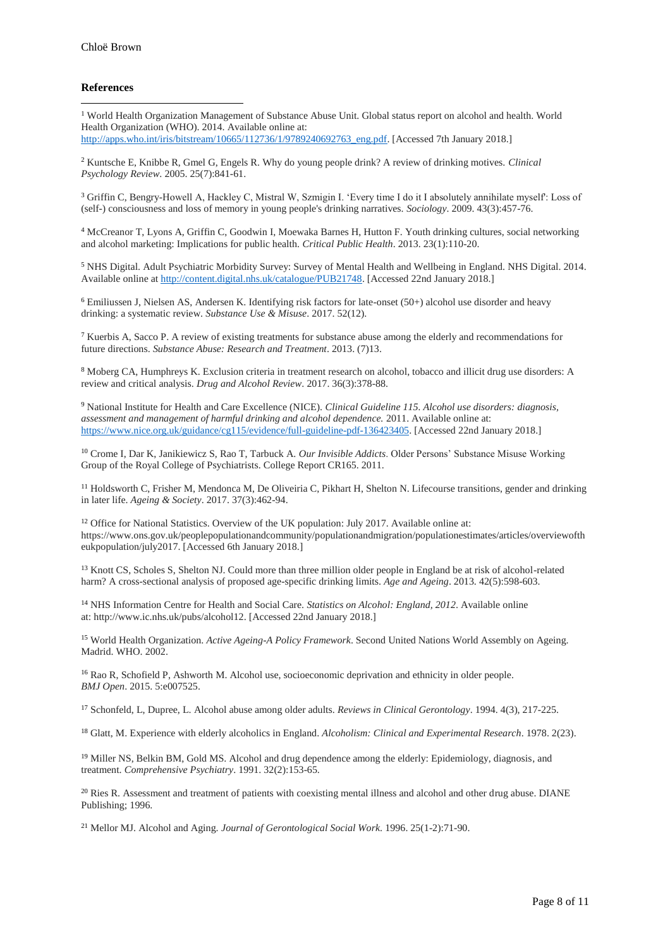#### **References**

<sup>1</sup> World Health Organization Management of Substance Abuse Unit. Global status report on alcohol and health. World Health Organization (WHO). 2014. Available online at: [http://apps.who.int/iris/bitstream/10665/112736/1/9789240692763\\_eng.pdf.](http://apps.who.int/iris/bitstream/10665/112736/1/9789240692763_eng.pdf) [Accessed 7th January 2018.]  $\overline{a}$ 

<sup>2</sup> Kuntsche E, Knibbe R, Gmel G, Engels R. Why do young people drink? A review of drinking motives. *Clinical Psychology Review*. 2005. 25(7):841-61.

<sup>3</sup> Griffin C, Bengry-Howell A, Hackley C, Mistral W, Szmigin I. 'Every time I do it I absolutely annihilate myself': Loss of (self-) consciousness and loss of memory in young people's drinking narratives. *Sociology*. 2009. 43(3):457-76.

<sup>4</sup> McCreanor T, Lyons A, Griffin C, Goodwin I, Moewaka Barnes H, Hutton F. Youth drinking cultures, social networking and alcohol marketing: Implications for public health. *Critical Public Health*. 2013. 23(1):110-20.

<sup>5</sup> NHS Digital. Adult Psychiatric Morbidity Survey: Survey of Mental Health and Wellbeing in England. NHS Digital. 2014. Available online a[t http://content.digital.nhs.uk/catalogue/PUB21748.](http://content.digital.nhs.uk/catalogue/PUB21748) [Accessed 22nd January 2018.]

<sup>6</sup> Emiliussen J, Nielsen AS, Andersen K. Identifying risk factors for late-onset (50+) alcohol use disorder and heavy drinking: a systematic review. *Substance Use & Misuse*. 2017. 52(12).

<sup>7</sup> Kuerbis A, Sacco P. A review of existing treatments for substance abuse among the elderly and recommendations for future directions. *Substance Abuse: Research and Treatment*. 2013. (7)13.

<sup>8</sup> Moberg CA, Humphreys K. Exclusion criteria in treatment research on alcohol, tobacco and illicit drug use disorders: A review and critical analysis. *Drug and Alcohol Review*. 2017. 36(3):378-88.

<sup>9</sup> National Institute for Health and Care Excellence (NICE). *Clinical Guideline 115. Alcohol use disorders: diagnosis, assessment and management of harmful drinking and alcohol dependence.* 2011. Available online at: [https://www.nice.org.uk/guidance/cg115/evidence/full-guideline-pdf-136423405.](https://www.nice.org.uk/guidance/cg115/evidence/full-guideline-pdf-136423405) [Accessed 22nd January 2018.]

<sup>10</sup> Crome I, Dar K, Janikiewicz S, Rao T, Tarbuck A. *Our Invisible Addicts*. Older Persons' Substance Misuse Working Group of the Royal College of Psychiatrists. College Report CR165. 2011.

<sup>11</sup> Holdsworth C, Frisher M, Mendonca M, De Oliveiria C, Pikhart H, Shelton N. Lifecourse transitions, gender and drinking in later life. *Ageing & Society*. 2017. 37(3):462-94.

<sup>12</sup> Office for National Statistics. Overview of the UK population: July 2017. Available online at: [https://www.ons.gov.uk/peoplepopulationandcommunity/populationandmigration/populationestimates/articles/overviewofth](https://www.ons.gov.uk/peoplepopulationandcommunity/populationandmigration/populationestimates/articles/overviewoftheukpopulation/july2017) [eukpopulation/july2017.](https://www.ons.gov.uk/peoplepopulationandcommunity/populationandmigration/populationestimates/articles/overviewoftheukpopulation/july2017) [Accessed 6th January 2018.]

<sup>13</sup> Knott CS, Scholes S, Shelton NJ. Could more than three million older people in England be at risk of alcohol-related harm? A cross-sectional analysis of proposed age-specific drinking limits. *Age and Ageing*. 2013. 42(5):598-603.

<sup>14</sup> NHS Information Centre for Health and Social Care. *Statistics on Alcohol: England, 2012*. Available online at: [http://www.ic.nhs.uk/pubs/alcohol12.](http://www.ic.nhs.uk/pubs/alcohol12) [Accessed 22nd January 2018.]

<sup>15</sup> World Health Organization. *Active Ageing-A Policy Framework*. Second United Nations World Assembly on Ageing. Madrid. WHO. 2002.

<sup>16</sup> Rao R, Schofield P, Ashworth M. Alcohol use, socioeconomic deprivation and ethnicity in older people. *BMJ Open*. 2015. 5:e007525.

<sup>17</sup> Schonfeld, L, Dupree, L. Alcohol abuse among older adults. *Reviews in Clinical Gerontology*. 1994. 4(3), 217-225.

<sup>18</sup> Glatt, M. Experience with elderly alcoholics in England. *Alcoholism: Clinical and Experimental Research*. 1978. 2(23).

<sup>19</sup> Miller NS, Belkin BM, Gold MS. Alcohol and drug dependence among the elderly: Epidemiology, diagnosis, and treatment. *Comprehensive Psychiatry*. 1991. 32(2):153-65.

<sup>20</sup> Ries R. Assessment and treatment of patients with coexisting mental illness and alcohol and other drug abuse. DIANE Publishing; 1996.

<sup>21</sup> Mellor MJ. Alcohol and Aging. *Journal of Gerontological Social Work*. 1996. 25(1-2):71-90.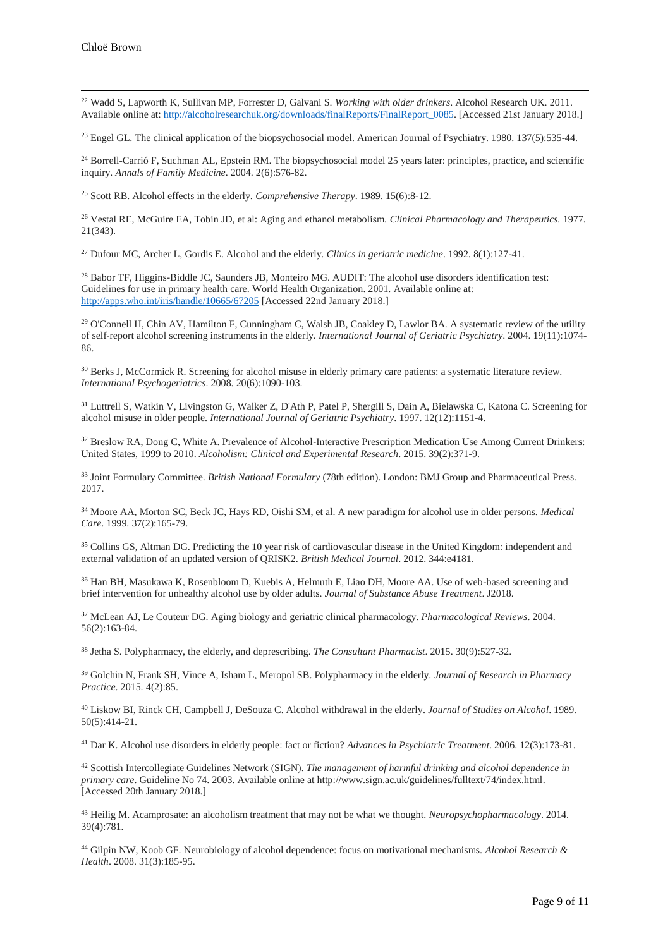$\overline{a}$ 

<sup>22</sup> Wadd S, Lapworth K, Sullivan MP, Forrester D, Galvani S. *Working with older drinkers*. Alcohol Research UK. 2011. Available online at[: http://alcoholresearchuk.org/downloads/finalReports/FinalReport\\_0085.](http://alcoholresearchuk.org/downloads/finalReports/FinalReport_0085) [Accessed 21st January 2018.]

<sup>23</sup> Engel GL. The clinical application of the biopsychosocial model. American Journal of Psychiatry. 1980. 137(5):535-44.

<sup>24</sup> Borrell-Carrió F, Suchman AL, Epstein RM. The biopsychosocial model 25 years later: principles, practice, and scientific inquiry. *Annals of Family Medicine*. 2004. 2(6):576-82.

<sup>25</sup> Scott RB. Alcohol effects in the elderly. *Comprehensive Therapy*. 1989. 15(6):8-12.

<sup>26</sup> Vestal RE, McGuire EA, Tobin JD, et al: Aging and ethanol metabolism. *Clinical Pharmacology and Therapeutics.* 1977. 21(343).

<sup>27</sup> Dufour MC, Archer L, Gordis E. Alcohol and the elderly. *Clinics in geriatric medicine*. 1992. 8(1):127-41.

<sup>28</sup> Babor TF, Higgins-Biddle JC, Saunders JB, Monteiro MG. AUDIT: The alcohol use disorders identification test: Guidelines for use in primary health care. World Health Organization. 2001. Available online at: <http://apps.who.int/iris/handle/10665/67205> [Accessed 22nd January 2018.]

<sup>29</sup> O'Connell H, Chin AV, Hamilton F, Cunningham C, Walsh JB, Coakley D, Lawlor BA. A systematic review of the utility of self‐report alcohol screening instruments in the elderly. *International Journal of Geriatric Psychiatry*. 2004. 19(11):1074- 86.

<sup>30</sup> Berks J, McCormick R. Screening for alcohol misuse in elderly primary care patients: a systematic literature review. *International Psychogeriatrics*. 2008. 20(6):1090-103.

<sup>31</sup> Luttrell S, Watkin V, Livingston G, Walker Z, D'Ath P, Patel P, Shergill S, Dain A, Bielawska C, Katona C. Screening for alcohol misuse in older people. *International Journal of Geriatric Psychiatry*. 1997. 12(12):1151-4.

32 Breslow RA, Dong C, White A. Prevalence of Alcohol-Interactive Prescription Medication Use Among Current Drinkers: United States, 1999 to 2010. *Alcoholism: Clinical and Experimental Research*. 2015. 39(2):371-9.

<sup>33</sup> Joint Formulary Committee. *British National Formulary* (78th edition). London: BMJ Group and Pharmaceutical Press. 2017.

<sup>34</sup> Moore AA, Morton SC, Beck JC, Hays RD, Oishi SM, et al. A new paradigm for alcohol use in older persons. *Medical Care*. 1999. 37(2):165-79.

<sup>35</sup> Collins GS, Altman DG. Predicting the 10 year risk of cardiovascular disease in the United Kingdom: independent and external validation of an updated version of QRISK2. *British Medical Journal*. 2012. 344:e4181.

<sup>36</sup> Han BH, Masukawa K, Rosenbloom D, Kuebis A, Helmuth E, Liao DH, Moore AA. Use of web-based screening and brief intervention for unhealthy alcohol use by older adults. *Journal of Substance Abuse Treatment*. J2018.

<sup>37</sup> McLean AJ, Le Couteur DG. Aging biology and geriatric clinical pharmacology. *Pharmacological Reviews*. 2004. 56(2):163-84.

<sup>38</sup> Jetha S. Polypharmacy, the elderly, and deprescribing. *The Consultant Pharmacist*. 2015. 30(9):527-32.

<sup>39</sup> Golchin N, Frank SH, Vince A, Isham L, Meropol SB. Polypharmacy in the elderly. *Journal of Research in Pharmacy Practice*. 2015. 4(2):85.

<sup>40</sup> Liskow BI, Rinck CH, Campbell J, DeSouza C. Alcohol withdrawal in the elderly. *Journal of Studies on Alcohol*. 1989. 50(5):414-21.

<sup>41</sup> Dar K. Alcohol use disorders in elderly people: fact or fiction? *Advances in Psychiatric Treatment*. 2006. 12(3):173-81.

<sup>42</sup> Scottish Intercollegiate Guidelines Network (SIGN). *The management of harmful drinking and alcohol dependence in primary care*. Guideline No 74. 2003. Available online a[t http://www.sign.ac.uk/guidelines/fulltext/74/index.html.](http://www.sign.ac.uk/guidelines/fulltext/74/index.html) [Accessed 20th January 2018.]

<sup>43</sup> Heilig M. Acamprosate: an alcoholism treatment that may not be what we thought. *Neuropsychopharmacology*. 2014. 39(4):781.

<sup>44</sup> Gilpin NW, Koob GF. Neurobiology of alcohol dependence: focus on motivational mechanisms. *Alcohol Research & Health*. 2008. 31(3):185-95.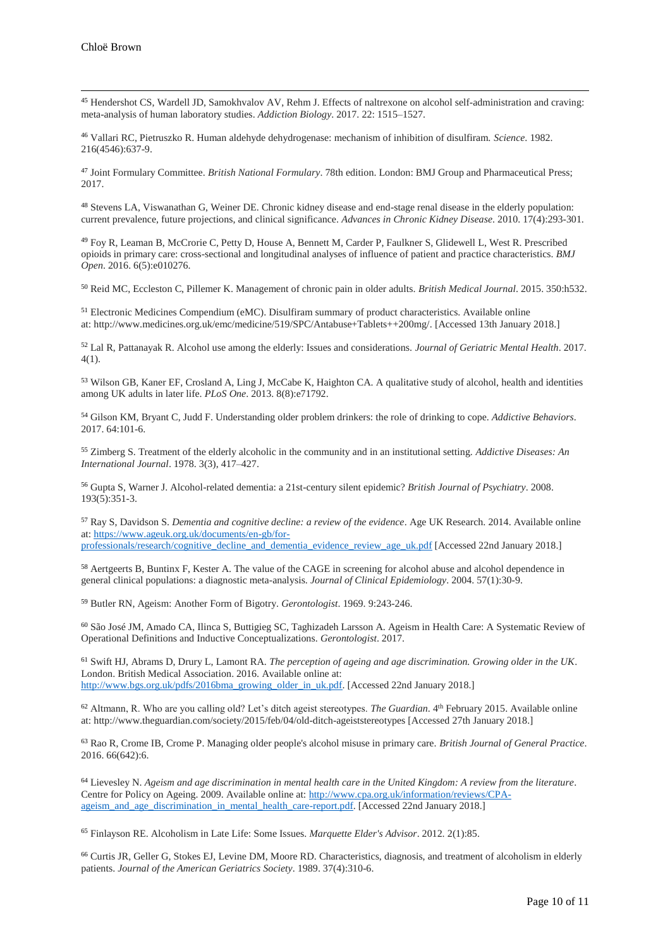$\overline{a}$ 

<sup>45</sup> Hendershot CS, Wardell JD, Samokhvalov AV, Rehm J. Effects of naltrexone on alcohol self-administration and craving: meta-analysis of human laboratory studies. *Addiction Biology*. 2017. 22: 1515–1527.

<sup>46</sup> Vallari RC, Pietruszko R. Human aldehyde dehydrogenase: mechanism of inhibition of disulfiram. *Science*. 1982. 216(4546):637-9.

<sup>47</sup> Joint Formulary Committee. *British National Formulary*. 78th edition. London: BMJ Group and Pharmaceutical Press; 2017.

<sup>48</sup> Stevens LA, Viswanathan G, Weiner DE. Chronic kidney disease and end-stage renal disease in the elderly population: current prevalence, future projections, and clinical significance. *Advances in Chronic Kidney Disease*. 2010. 17(4):293-301.

<sup>49</sup> Foy R, Leaman B, McCrorie C, Petty D, House A, Bennett M, Carder P, Faulkner S, Glidewell L, West R. Prescribed opioids in primary care: cross-sectional and longitudinal analyses of influence of patient and practice characteristics. *BMJ Open*. 2016. 6(5):e010276.

<sup>50</sup> Reid MC, Eccleston C, Pillemer K. Management of chronic pain in older adults. *British Medical Journal*. 2015. 350:h532.

<sup>51</sup> Electronic Medicines Compendium (eMC). Disulfiram summary of product characteristics. Available online at: http://www.medicines.org.uk/emc/medicine/519/SPC/Antabuse+Tablets++200mg/. [Accessed 13th January 2018.]

<sup>52</sup> Lal R, Pattanayak R. Alcohol use among the elderly: Issues and considerations. *Journal of Geriatric Mental Health*. 2017. 4(1).

<sup>53</sup> Wilson GB, Kaner EF, Crosland A, Ling J, McCabe K, Haighton CA. A qualitative study of alcohol, health and identities among UK adults in later life. *PLoS One*. 2013. 8(8):e71792.

<sup>54</sup> Gilson KM, Bryant C, Judd F. Understanding older problem drinkers: the role of drinking to cope. *Addictive Behaviors*. 2017. 64:101-6.

<sup>55</sup> Zimberg S. Treatment of the elderly alcoholic in the community and in an institutional setting. *Addictive Diseases: An International Journal*. 1978. 3(3), 417–427.

<sup>56</sup> Gupta S, Warner J. Alcohol-related dementia: a 21st-century silent epidemic? *British Journal of Psychiatry*. 2008. 193(5):351-3.

<sup>57</sup> Ray S, Davidson S. *Dementia and cognitive decline: a review of the evidence*. Age UK Research. 2014. Available online at: [https://www.ageuk.org.uk/documents/en-gb/for](https://www.ageuk.org.uk/documents/en-gb/for-professionals/research/cognitive_decline_and_dementia_evidence_review_age_uk.pdf)[professionals/research/cognitive\\_decline\\_and\\_dementia\\_evidence\\_review\\_age\\_uk.pdf](https://www.ageuk.org.uk/documents/en-gb/for-professionals/research/cognitive_decline_and_dementia_evidence_review_age_uk.pdf) [Accessed 22nd January 2018.]

<sup>58</sup> Aertgeerts B, Buntinx F, Kester A. The value of the CAGE in screening for alcohol abuse and alcohol dependence in general clinical populations: a diagnostic meta-analysis. *Journal of Clinical Epidemiology*. 2004. 57(1):30-9.

<sup>59</sup> Butler RN, Ageism: Another Form of Bigotry. *Gerontologist*. 1969. 9:243-246.

<sup>60</sup> São José JM, Amado CA, Ilinca S, Buttigieg SC, Taghizadeh Larsson A. Ageism in Health Care: A Systematic Review of Operational Definitions and Inductive Conceptualizations. *Gerontologist*. 2017.

<sup>61</sup> Swift HJ, Abrams D, Drury L, Lamont RA. *The perception of ageing and age discrimination. Growing older in the UK*. London. British Medical Association. 2016. Available online at: [http://www.bgs.org.uk/pdfs/2016bma\\_growing\\_older\\_in\\_uk.pdf.](http://www.bgs.org.uk/pdfs/2016bma_growing_older_in_uk.pdf) [Accessed 22nd January 2018.]

<sup>62</sup> Altmann, R. Who are you calling old? Let's ditch ageist stereotypes. *The Guardian*. 4 th February 2015. Available online at: http://www.theguardian.com/society/2015/feb/04/old-ditch-ageiststereotypes [Accessed 27th January 2018.]

<sup>63</sup> Rao R, Crome IB, Crome P. Managing older people's alcohol misuse in primary care. *British Journal of General Practice*. 2016. 66(642):6.

<sup>64</sup> Lievesley N. *Ageism and age discrimination in mental health care in the United Kingdom: A review from the literature*. Centre for Policy on Ageing. 2009. Available online at: [http://www.cpa.org.uk/information/reviews/CPA](http://www.cpa.org.uk/information/reviews/CPA-ageism_and_age_discrimination_in_mental_health_care-report.pdf)[ageism\\_and\\_age\\_discrimination\\_in\\_mental\\_health\\_care-report.pdf.](http://www.cpa.org.uk/information/reviews/CPA-ageism_and_age_discrimination_in_mental_health_care-report.pdf) [Accessed 22nd January 2018.]

<sup>65</sup> Finlayson RE. Alcoholism in Late Life: Some Issues. *Marquette Elder's Advisor*. 2012. 2(1):85.

<sup>66</sup> Curtis JR, Geller G, Stokes EJ, Levine DM, Moore RD. Characteristics, diagnosis, and treatment of alcoholism in elderly patients. *Journal of the American Geriatrics Society*. 1989. 37(4):310-6.